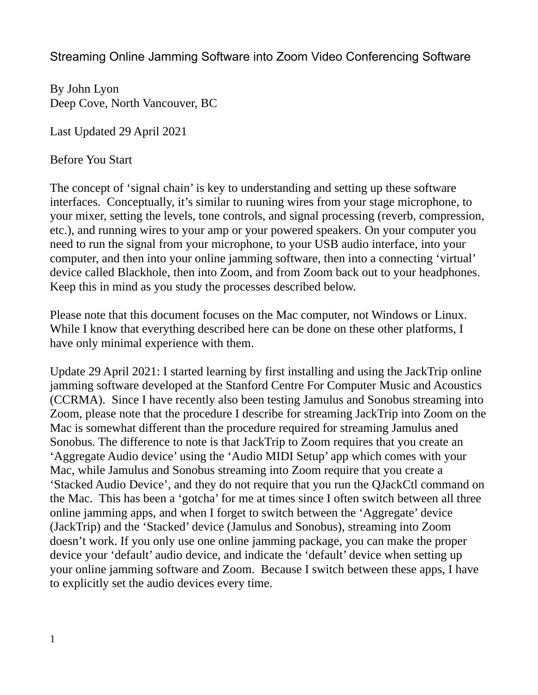By John Lyon Deep Cove, North Vancouver, BC

Last Updated 29 April 2021

Before You Start

The concept of 'signal chain' is key to understanding and setting up these software interfaces. Conceptually, it's similar to ruuning wires from your stage microphone, to your mixer, setting the levels, tone controls, and signal processing (reverb, compression, etc.), and running wires to your amp or your powered speakers. On your computer you need to run the signal from your microphone, to your USB audio interface, into your computer, and then into your online jamming software, then into a connecting 'virtual' device called Blackhole, then into Zoom, and from Zoom back out to your headphones. Keep this in mind as you study the processes described below.

Please note that this document focuses on the Mac computer, not Windows or Linux. While I know that everything described here can be done on these other platforms, I have only minimal experience with them.

Update 29 April 2021: I started learning by first installing and using the JackTrip online jamming software developed at the Stanford Centre For Computer Music and Acoustics (CCRMA). Since I have recently also been testing Jamulus and Sonobus streaming into Zoom, please note that the procedure I describe for streaming JackTrip into Zoom on the Mac is somewhat different than the procedure required for streaming Jamulus aned Sonobus. The difference to note is that JackTrip to Zoom requires that you create an 'Aggregate Audio device' using the 'Audio MIDI Setup' app which comes with your Mac, while Jamulus and Sonobus streaming into Zoom require that you create a 'Stacked Audio Device', and they do not require that you run the QJackCtl command on the Mac. This has been a 'gotcha' for me at times since I often switch between all three online jamming apps, and when I forget to switch between the 'Aggregate' device (JackTrip) and the 'Stacked' device (Jamulus and Sonobus), streaming into Zoom doesn't work. If you only use one online jamming package, you can make the proper device your 'default' audio device, and indicate the 'default' device when setting up your online jamming software and Zoom. Because I switch between these apps, I have to explicitly set the audio devices every time.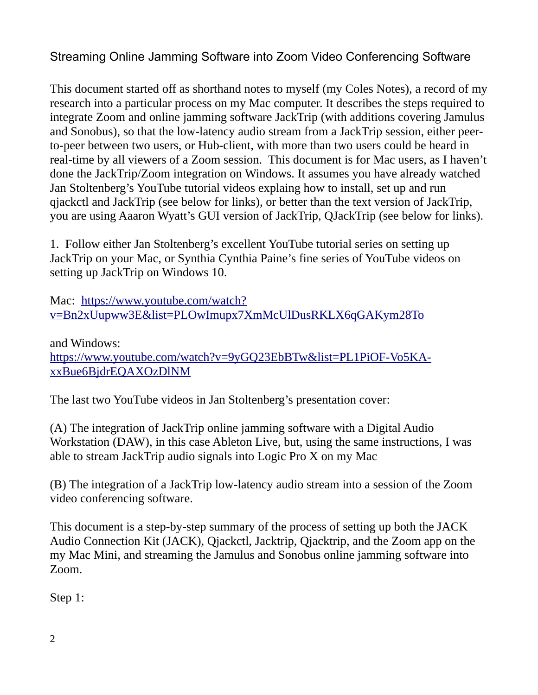This document started off as shorthand notes to myself (my Coles Notes), a record of my research into a particular process on my Mac computer. It describes the steps required to integrate Zoom and online jamming software JackTrip (with additions covering Jamulus and Sonobus), so that the low-latency audio stream from a JackTrip session, either peerto-peer between two users, or Hub-client, with more than two users could be heard in real-time by all viewers of a Zoom session. This document is for Mac users, as I haven't done the JackTrip/Zoom integration on Windows. It assumes you have already watched Jan Stoltenberg's YouTube tutorial videos explaing how to install, set up and run qjackctl and JackTrip (see below for links), or better than the text version of JackTrip, you are using Aaaron Wyatt's GUI version of JackTrip, QJackTrip (see below for links).

1. Follow either Jan Stoltenberg's excellent YouTube tutorial series on setting up JackTrip on your Mac, or Synthia Cynthia Paine's fine series of YouTube videos on setting up JackTrip on Windows 10.

Mac: [https://www.youtube.com/watch?](https://www.youtube.com/watch?v=Bn2xUupww3E&list=PLOwImupx7XmMcUlDusRKLX6qGAKym28To) [v=Bn2xUupww3E&list=PLOwImupx7XmMcUlDusRKLX6qGAKym28To](https://www.youtube.com/watch?v=Bn2xUupww3E&list=PLOwImupx7XmMcUlDusRKLX6qGAKym28To)

and Windows: [https://www.youtube.com/watch?v=9yGQ23EbBTw&list=PL1PiOF-Vo5KA](https://www.youtube.com/watch?v=9yGQ23EbBTw&list=PL1PiOF-Vo5KA-xxBue6BjdrEQAXOzDlNM)[xxBue6BjdrEQAXOzDlNM](https://www.youtube.com/watch?v=9yGQ23EbBTw&list=PL1PiOF-Vo5KA-xxBue6BjdrEQAXOzDlNM)

The last two YouTube videos in Jan Stoltenberg's presentation cover:

(A) The integration of JackTrip online jamming software with a Digital Audio Workstation (DAW), in this case Ableton Live, but, using the same instructions, I was able to stream JackTrip audio signals into Logic Pro X on my Mac

(B) The integration of a JackTrip low-latency audio stream into a session of the Zoom video conferencing software.

This document is a step-by-step summary of the process of setting up both the JACK Audio Connection Kit (JACK), Qjackctl, Jacktrip, Qjacktrip, and the Zoom app on the my Mac Mini, and streaming the Jamulus and Sonobus online jamming software into Zoom.

Step 1: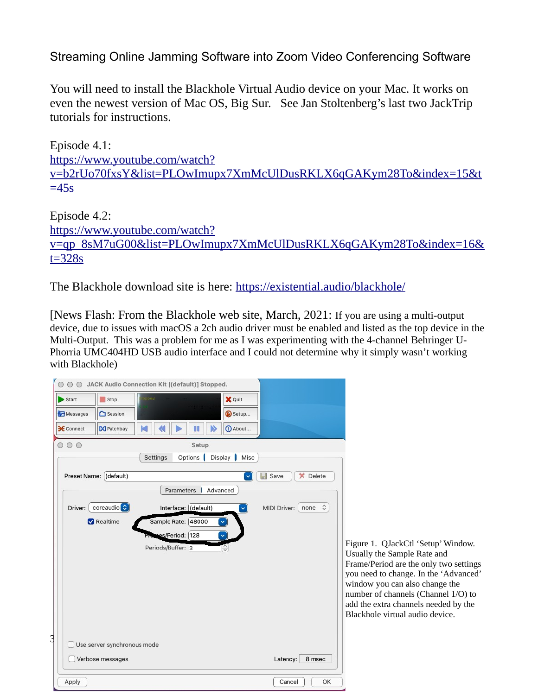You will need to install the Blackhole Virtual Audio device on your Mac. It works on even the newest version of Mac OS, Big Sur. See Jan Stoltenberg's last two JackTrip tutorials for instructions.

Episode 4.1: [https://www.youtube.com/watch?](https://www.youtube.com/watch?v=b2rUo70fxsY&list=PLOwImupx7XmMcUlDusRKLX6qGAKym28To&index=15&t=45s) [v=b2rUo70fxsY&list=PLOwImupx7XmMcUlDusRKLX6qGAKym28To&index=15&t](https://www.youtube.com/watch?v=b2rUo70fxsY&list=PLOwImupx7XmMcUlDusRKLX6qGAKym28To&index=15&t=45s)  $=45s$ 

Episode 4.2: [https://www.youtube.com/watch?](https://www.youtube.com/watch?v=qp_8sM7uG00&list=PLOwImupx7XmMcUlDusRKLX6qGAKym28To&index=16&t=328s) [v=qp\\_8sM7uG00&list=PLOwImupx7XmMcUlDusRKLX6qGAKym28To&index=16&](https://www.youtube.com/watch?v=qp_8sM7uG00&list=PLOwImupx7XmMcUlDusRKLX6qGAKym28To&index=16&t=328s) [t=328s](https://www.youtube.com/watch?v=qp_8sM7uG00&list=PLOwImupx7XmMcUlDusRKLX6qGAKym28To&index=16&t=328s)

The Blackhole download site is here:<https://existential.audio/blackhole/>

[News Flash: From the Blackhole web site, March, 2021: If you are using a multi-output device, due to issues with macOS a 2ch audio driver must be enabled and listed as the top device in the Multi-Output. This was a problem for me as I was experimenting with the 4-channel Behringer U-Phorria UMC404HD USB audio interface and I could not determine why it simply wasn't working with Blackhole)

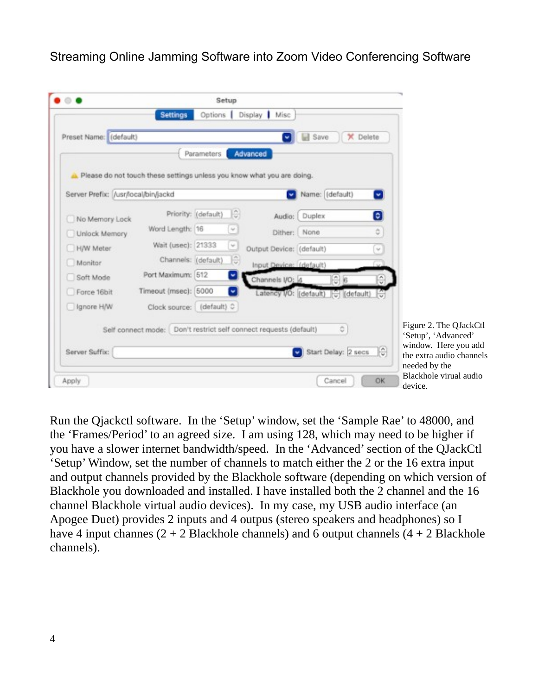|                                     |                                                                        |                     | Setup         |                          |                                   |              |                                                                                          |
|-------------------------------------|------------------------------------------------------------------------|---------------------|---------------|--------------------------|-----------------------------------|--------------|------------------------------------------------------------------------------------------|
|                                     | <b>Settings</b>                                                        | Options             |               | Display   Misc           |                                   |              |                                                                                          |
| Preset Name: (default)              |                                                                        |                     |               | ×                        | <b>B</b> Save                     | X Delete     |                                                                                          |
|                                     |                                                                        | Parameters          |               | Advanced                 |                                   |              |                                                                                          |
|                                     | Please do not touch these settings unless you know what you are doing. |                     |               |                          |                                   |              |                                                                                          |
| Server Prefix: /usr/local/bin/jackd |                                                                        |                     |               |                          | Name: (default)                   | o.           |                                                                                          |
| No Memory Lock                      |                                                                        | Priority: (default) | G             | Audio:                   | Duplex                            | Θ            |                                                                                          |
| Unlock Memory                       | Word Length: 16                                                        |                     | u             |                          | Dither: None                      | õ            |                                                                                          |
| H/W Meter                           | Wait (usec): 21333                                                     |                     | $\mathbf{v}$  | Output Device: (default) |                                   | $\omega$     |                                                                                          |
| Monitor                             | Channels: (default)                                                    |                     | $\frac{1}{2}$ | Input Device: (default)  |                                   |              |                                                                                          |
| Soft Mode                           | Port Maximum: 512                                                      |                     |               | Channels VO: 4           | $\frac{2}{9}$ 6                   | E            |                                                                                          |
| Force 16bit                         | Timeout (msec): 5000                                                   |                     | ×             |                          | Latency VO: (default) c (default) |              |                                                                                          |
| Ignore H/W                          | Clock source: (default) C                                              |                     |               |                          |                                   |              |                                                                                          |
|                                     | Self connect mode: Don't restrict self connect requests (default)      |                     |               |                          |                                   | $\mathbb{Q}$ | Figure 2. The QJackCtl                                                                   |
| Server Suffix:                      |                                                                        |                     |               |                          | Start Delay: 2 secs               | I÷           | 'Setup', 'Advanced'<br>window. Here you add<br>the extra audio channels<br>needed by the |
| Apply                               |                                                                        |                     |               |                          | Cancel                            | OK           | Blackhole virual audio<br>device.                                                        |

Run the Qjackctl software. In the 'Setup' window, set the 'Sample Rae' to 48000, and the 'Frames/Period' to an agreed size. I am using 128, which may need to be higher if you have a slower internet bandwidth/speed. In the 'Advanced' section of the QJackCtl 'Setup' Window, set the number of channels to match either the 2 or the 16 extra input and output channels provided by the Blackhole software (depending on which version of Blackhole you downloaded and installed. I have installed both the 2 channel and the 16 channel Blackhole virtual audio devices). In my case, my USB audio interface (an Apogee Duet) provides 2 inputs and 4 outpus (stereo speakers and headphones) so I have 4 input channes  $(2 + 2$  Blackhole channels) and 6 output channels  $(4 + 2$  Blackhole channels).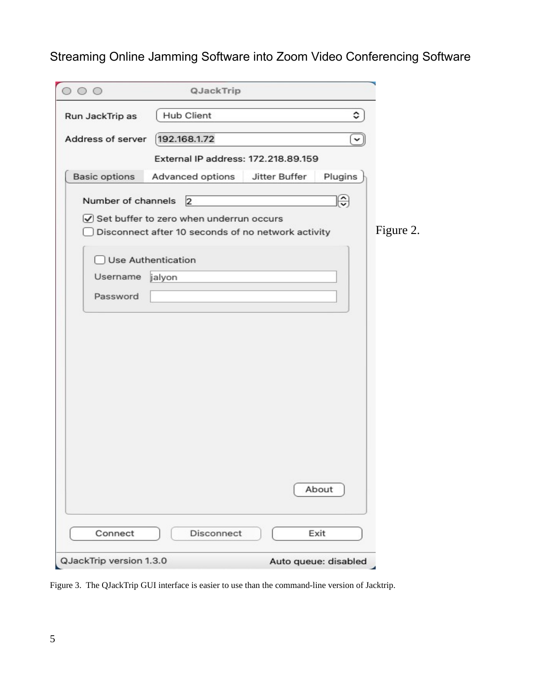| 000                                | QJackTrip                                          |                              |           |
|------------------------------------|----------------------------------------------------|------------------------------|-----------|
| Run JackTrip as                    | <b>Hub Client</b>                                  | ٥                            |           |
| Address of server                  | 192.168.1.72                                       | $\check{~}$                  |           |
|                                    | External IP address: 172.218.89.159                |                              |           |
| <b>Basic options</b>               | Advanced options                                   | Plugins<br>Jitter Buffer     |           |
| Number of channels                 | 2                                                  | ⊮                            |           |
|                                    | Set buffer to zero when underrun occurs            |                              |           |
|                                    | Disconnect after 10 seconds of no network activity |                              | Figure 2. |
|                                    | Use Authentication                                 |                              |           |
| Username                           | jalyon                                             |                              |           |
| Password                           |                                                    |                              |           |
|                                    |                                                    | About                        |           |
| Connect<br>QJackTrip version 1.3.0 | Disconnect                                         | Exit<br>Auto queue: disabled |           |

Figure 3. The QJackTrip GUI interface is easier to use than the command-line version of Jacktrip.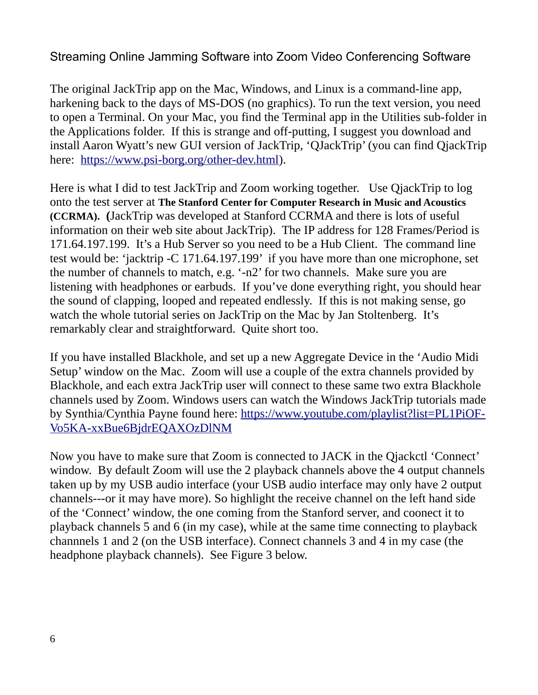The original JackTrip app on the Mac, Windows, and Linux is a command-line app, harkening back to the days of MS-DOS (no graphics). To run the text version, you need to open a Terminal. On your Mac, you find the Terminal app in the Utilities sub-folder in the Applications folder. If this is strange and off-putting, I suggest you download and install Aaron Wyatt's new GUI version of JackTrip, 'QJackTrip' (you can find QjackTrip here: <https://www.psi-borg.org/other-dev.html>).

Here is what I did to test JackTrip and Zoom working together. Use QjackTrip to log onto the test server at **The Stanford Center for Computer Research in Music and Acoustics (CCRMA). (**JackTrip was developed at Stanford CCRMA and there is lots of useful information on their web site about JackTrip). The IP address for 128 Frames/Period is 171.64.197.199. It's a Hub Server so you need to be a Hub Client. The command line test would be: 'jacktrip -C 171.64.197.199' if you have more than one microphone, set the number of channels to match, e.g. '-n2' for two channels. Make sure you are listening with headphones or earbuds. If you've done everything right, you should hear the sound of clapping, looped and repeated endlessly. If this is not making sense, go watch the whole tutorial series on JackTrip on the Mac by Jan Stoltenberg. It's remarkably clear and straightforward. Quite short too.

If you have installed Blackhole, and set up a new Aggregate Device in the 'Audio Midi Setup' window on the Mac. Zoom will use a couple of the extra channels provided by Blackhole, and each extra JackTrip user will connect to these same two extra Blackhole channels used by Zoom. Windows users can watch the Windows JackTrip tutorials made by Synthia/Cynthia Payne found here: https://www.youtube.com/playlist?list=PL1PiOF-Vo5KA-xxBue6BjdrEQAXOzDlNM

Now you have to make sure that Zoom is connected to JACK in the Qjackctl 'Connect' window. By default Zoom will use the 2 playback channels above the 4 output channels taken up by my USB audio interface (your USB audio interface may only have 2 output channels---or it may have more). So highlight the receive channel on the left hand side of the 'Connect' window, the one coming from the Stanford server, and coonect it to playback channels 5 and 6 (in my case), while at the same time connecting to playback channnels 1 and 2 (on the USB interface). Connect channels 3 and 4 in my case (the headphone playback channels). See Figure 3 below.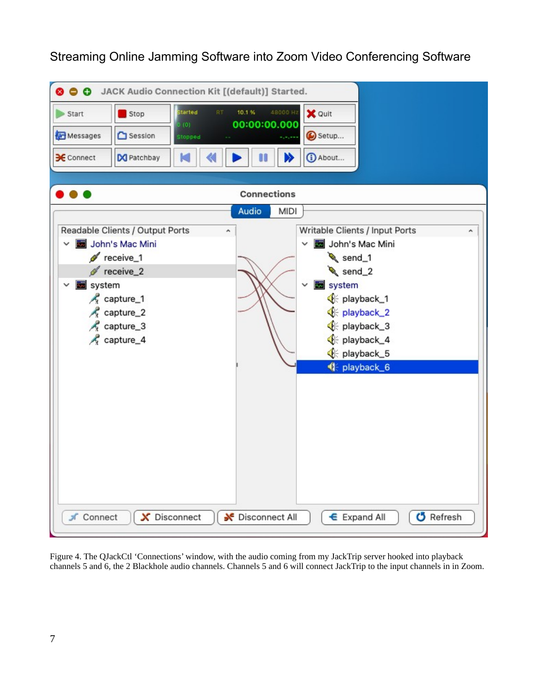

Figure 4. The QJackCtl 'Connections' window, with the audio coming from my JackTrip server hooked into playback channels 5 and 6, the 2 Blackhole audio channels. Channels 5 and 6 will connect JackTrip to the input channels in in Zoom.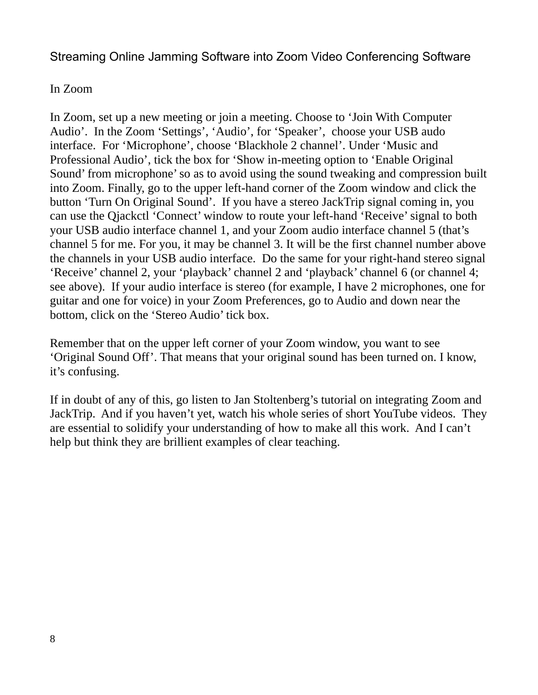#### In Zoom

In Zoom, set up a new meeting or join a meeting. Choose to 'Join With Computer Audio'. In the Zoom 'Settings', 'Audio', for 'Speaker', choose your USB audo interface. For 'Microphone', choose 'Blackhole 2 channel'. Under 'Music and Professional Audio', tick the box for 'Show in-meeting option to 'Enable Original Sound' from microphone' so as to avoid using the sound tweaking and compression built into Zoom. Finally, go to the upper left-hand corner of the Zoom window and click the button 'Turn On Original Sound'. If you have a stereo JackTrip signal coming in, you can use the Qjackctl 'Connect' window to route your left-hand 'Receive' signal to both your USB audio interface channel 1, and your Zoom audio interface channel 5 (that's channel 5 for me. For you, it may be channel 3. It will be the first channel number above the channels in your USB audio interface. Do the same for your right-hand stereo signal 'Receive' channel 2, your 'playback' channel 2 and 'playback' channel 6 (or channel 4; see above). If your audio interface is stereo (for example, I have 2 microphones, one for guitar and one for voice) in your Zoom Preferences, go to Audio and down near the bottom, click on the 'Stereo Audio' tick box.

Remember that on the upper left corner of your Zoom window, you want to see 'Original Sound Off'. That means that your original sound has been turned on. I know, it's confusing.

If in doubt of any of this, go listen to Jan Stoltenberg's tutorial on integrating Zoom and JackTrip. And if you haven't yet, watch his whole series of short YouTube videos. They are essential to solidify your understanding of how to make all this work. And I can't help but think they are brillient examples of clear teaching.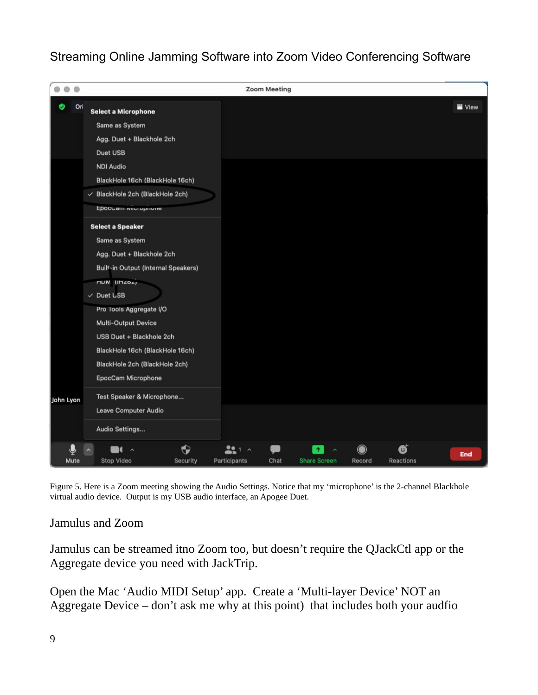

Figure 5. Here is a Zoom meeting showing the Audio Settings. Notice that my 'microphone' is the 2-channel Blackhole virtual audio device. Output is my USB audio interface, an Apogee Duet.

#### Jamulus and Zoom

Jamulus can be streamed itno Zoom too, but doesn't require the QJackCtl app or the Aggregate device you need with JackTrip.

Open the Mac 'Audio MIDI Setup' app. Create a 'Multi-layer Device' NOT an Aggregate Device – don't ask me why at this point) that includes both your audfio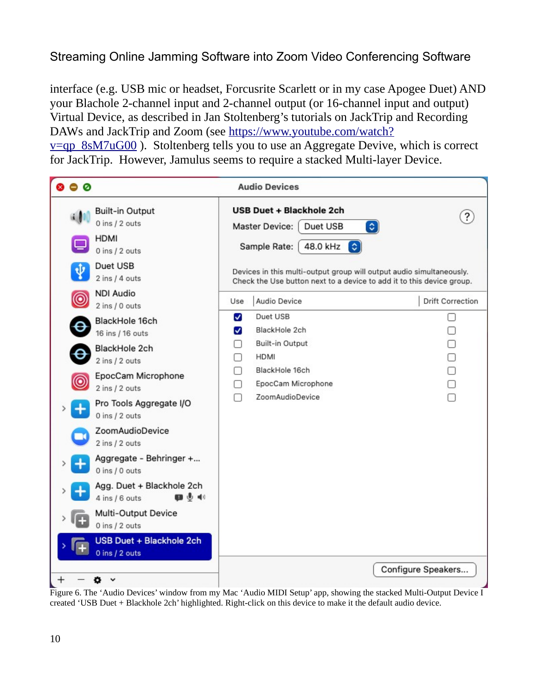interface (e.g. USB mic or headset, Forcusrite Scarlett or in my case Apogee Duet) AND your Blachole 2-channel input and 2-channel output (or 16-channel input and output) Virtual Device, as described in Jan Stoltenberg's tutorials on JackTrip and Recording DAWs and JackTrip and Zoom (see [https://www.youtube.com/watch?](https://www.youtube.com/watch?v=qp_8sM7uG00) [v=qp\\_8sM7uG00](https://www.youtube.com/watch?v=qp_8sM7uG00) ). Stoltenberg tells you to use an Aggregate Devive, which is correct for JackTrip. However, Jamulus seems to require a stacked Multi-layer Device.

| 000                                                                                                                                                                                                                                                                                                                                                                                                                                                            | <b>Audio Devices</b>                                                                                                                                                                                                                                                            |                                                                    |  |  |  |
|----------------------------------------------------------------------------------------------------------------------------------------------------------------------------------------------------------------------------------------------------------------------------------------------------------------------------------------------------------------------------------------------------------------------------------------------------------------|---------------------------------------------------------------------------------------------------------------------------------------------------------------------------------------------------------------------------------------------------------------------------------|--------------------------------------------------------------------|--|--|--|
| <b>Built-in Output</b><br>GH <sub>1</sub><br>$0$ ins $/2$ outs<br>HDMI<br>$0$ ins $/2$ outs<br>Duet USB<br>2 ins / 4 outs                                                                                                                                                                                                                                                                                                                                      | <b>USB Duet + Blackhole 2ch</b><br>$\mathcal{P}$<br>Master Device:<br>Duet USB<br>[≎]<br>48.0 kHz<br>Sample Rate:<br>$ \circ $<br>Devices in this multi-output group will output audio simultaneously.<br>Check the Use button next to a device to add it to this device group. |                                                                    |  |  |  |
| <b>NDI Audio</b><br>$\bm{\copyright}$<br>2 ins / 0 outs<br>BlackHole 16ch<br>16 ins / 16 outs<br>BlackHole 2ch<br>2 ins / 2 outs<br>EpocCam Microphone<br>2 ins / 2 outs<br>Pro Tools Aggregate I/O<br>$0$ ins $/2$ outs<br>ZoomAudioDevice<br>2 ins / 2 outs<br>Aggregate - Behringer +<br>0 ins / 0 outs<br>Agg. Duet + Blackhole 2ch<br>4 ins / 6 outs<br>.<br>Multi-Output Device<br>0 ins $/2$ outs<br><b>USB Duet + Blackhole 2ch</b><br>0 ins $/2$ outs | Audio Device<br>Use<br>V<br>Duet USB<br>BlackHole 2ch<br>$\blacktriangledown$<br><b>Built-in Output</b><br>LП<br><b>HDMI</b><br>H<br>BlackHole 16ch<br>EpocCam Microphone<br>ΓI<br>ZoomAudioDevice<br>п                                                                         | <b>Drift Correction</b><br>⊓<br>$\overline{1}$<br>┐<br>□<br>Ō<br>0 |  |  |  |
| Configure Speakers                                                                                                                                                                                                                                                                                                                                                                                                                                             |                                                                                                                                                                                                                                                                                 |                                                                    |  |  |  |

Figure 6. The 'Audio Devices' window from my Mac 'Audio MIDI Setup' app, showing the stacked Multi-Output Device I created 'USB Duet + Blackhole 2ch' highlighted. Right-click on this device to make it the default audio device.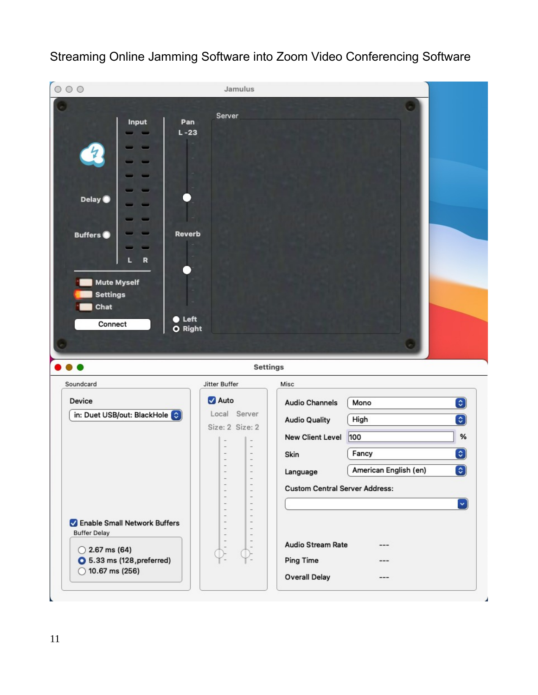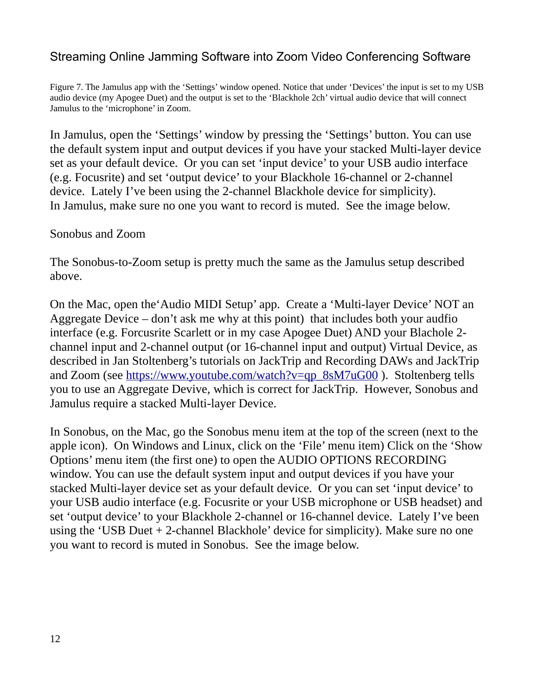Figure 7. The Jamulus app with the 'Settings' window opened. Notice that under 'Devices' the input is set to my USB audio device (my Apogee Duet) and the output is set to the 'Blackhole 2ch' virtual audio device that will connect Jamulus to the 'microphone' in Zoom.

In Jamulus, open the 'Settings' window by pressing the 'Settings' button. You can use the default system input and output devices if you have your stacked Multi-layer device set as your default device. Or you can set 'input device' to your USB audio interface (e.g. Focusrite) and set 'output device' to your Blackhole 16-channel or 2-channel device. Lately I've been using the 2-channel Blackhole device for simplicity). In Jamulus, make sure no one you want to record is muted. See the image below.

#### Sonobus and Zoom

The Sonobus-to-Zoom setup is pretty much the same as the Jamulus setup described above.

On the Mac, open the'Audio MIDI Setup' app. Create a 'Multi-layer Device' NOT an Aggregate Device – don't ask me why at this point) that includes both your audfio interface (e.g. Forcusrite Scarlett or in my case Apogee Duet) AND your Blachole 2 channel input and 2-channel output (or 16-channel input and output) Virtual Device, as described in Jan Stoltenberg's tutorials on JackTrip and Recording DAWs and JackTrip and Zoom (see [https://www.youtube.com/watch?v=qp\\_8sM7uG00](https://www.youtube.com/watch?v=qp_8sM7uG00) ). Stoltenberg tells you to use an Aggregate Devive, which is correct for JackTrip. However, Sonobus and Jamulus require a stacked Multi-layer Device.

In Sonobus, on the Mac, go the Sonobus menu item at the top of the screen (next to the apple icon). On Windows and Linux, click on the 'File' menu item) Click on the 'Show Options' menu item (the first one) to open the AUDIO OPTIONS RECORDING window. You can use the default system input and output devices if you have your stacked Multi-layer device set as your default device. Or you can set 'input device' to your USB audio interface (e.g. Focusrite or your USB microphone or USB headset) and set 'output device' to your Blackhole 2-channel or 16-channel device. Lately I've been using the 'USB Duet + 2-channel Blackhole' device for simplicity). Make sure no one you want to record is muted in Sonobus. See the image below.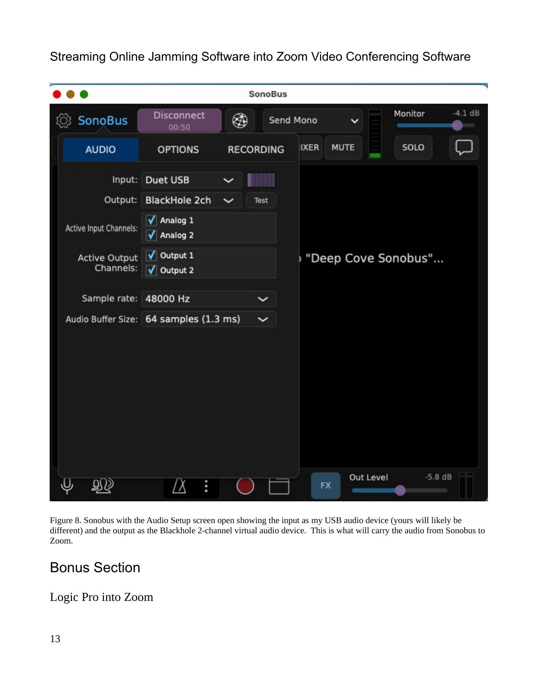

Figure 8. Sonobus with the Audio Setup screen open showing the input as my USB audio device (yours will likely be different) and the output as the Blackhole 2-channel virtual audio device. This is what will carry the audio from Sonobus to Zoom.

# Bonus Section

#### Logic Pro into Zoom